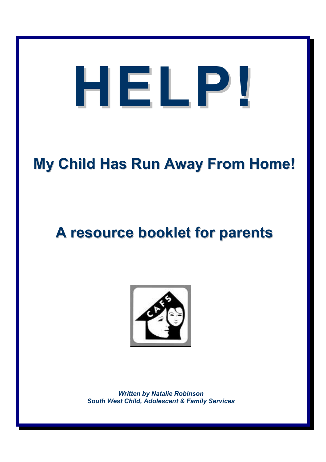# **HELP!**

# **My Child Has Run Away From Home!**

# **A resource booklet for parents**



*Written by Natalie Robinson South West Child, Adolescent & Family Services*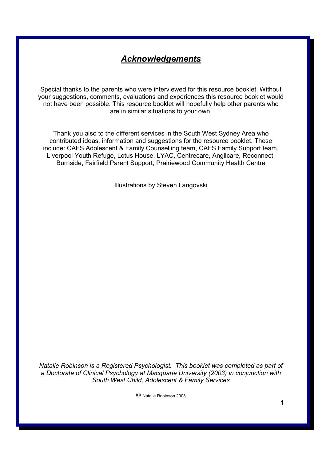## *Acknowledgements*

Special thanks to the parents who were interviewed for this resource booklet. Without your suggestions, comments, evaluations and experiences this resource booklet would not have been possible. This resource booklet will hopefully help other parents who are in similar situations to your own.

Thank you also to the different services in the South West Sydney Area who contributed ideas, information and suggestions for the resource booklet. These include: CAFS Adolescent & Family Counselling team, CAFS Family Support team, Liverpool Youth Refuge, Lotus House, LYAC, Centrecare, Anglicare, Reconnect, Burnside, Fairfield Parent Support, Prairiewood Community Health Centre

Illustrations by Steven Langovski

*Natalie Robinson is a Registered Psychologist. This booklet was completed as part of a Doctorate of Clinical Psychology at Macquarie University (2003) in conjunction with South West Child, Adolescent & Family Services* 

© Natalie Robinson 2003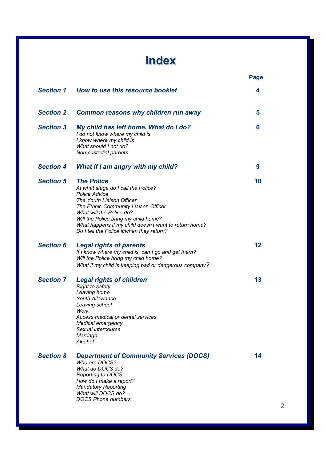# **Index**

|                  |                                                                                                                                                                                                                                                                                                                                 | Page |
|------------------|---------------------------------------------------------------------------------------------------------------------------------------------------------------------------------------------------------------------------------------------------------------------------------------------------------------------------------|------|
| <b>Section 1</b> | How to use this resource booklet                                                                                                                                                                                                                                                                                                | 4    |
| <b>Section 2</b> | <b>Common reasons why children run away</b>                                                                                                                                                                                                                                                                                     | 5    |
| <b>Section 3</b> | My child has left home. What do I do?<br>I do not know where my child is<br>I know where my child is<br>What should I not do?<br>Non-custodial parents                                                                                                                                                                          | 6    |
| <b>Section 4</b> | What if I am angry with my child?                                                                                                                                                                                                                                                                                               | 9    |
| <b>Section 5</b> | <b>The Police</b><br>At what stage do I call the Police?<br><b>Police Advice</b><br>The Youth Liaison Officer<br>The Ethnic Community Liaison Officer<br>What will the Police do?<br>Will the Police bring my child home?<br>What happens if my child doesn't want to return home?<br>Do I tell the Police if/when they return? | 10   |
| <b>Section 6</b> | <b>Legal rights of parents</b><br>If I know where my child is, can I go and get them?<br>Will the Police bring my child home?<br>What if my child is keeping bad or dangerous company?                                                                                                                                          | 12   |
| <b>Section 7</b> | <b>Legal rights of children</b><br>Right to safety<br>Leaving home<br><b>Youth Allowance</b><br>Leaving school<br>Work<br>Access medical or dental services<br>Medical emergency<br>Sexual intercourse<br>Marriage<br>Alcohol                                                                                                   | 13   |
| <b>Section 8</b> | <b>Department of Community Services (DOCS)</b><br>Who are DOCS?<br>What do DOCS do?<br><b>Reporting to DOCS</b><br>How do I make a report?<br><b>Mandatory Reporting</b><br>What will DOCS do?<br><b>DOCS Phone numbers</b>                                                                                                     | 14   |

2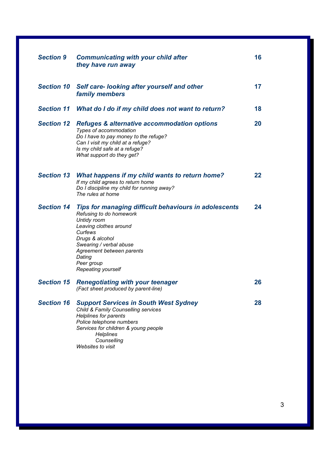| <b>Section 9</b>  | <b>Communicating with your child after</b><br>they have run away                                                                                                                                                                                                     | 16      |
|-------------------|----------------------------------------------------------------------------------------------------------------------------------------------------------------------------------------------------------------------------------------------------------------------|---------|
| <b>Section 10</b> | Self care-looking after yourself and other<br>family members                                                                                                                                                                                                         | 17      |
|                   | Section 11 What do I do if my child does not want to return?                                                                                                                                                                                                         | 18      |
| <b>Section 12</b> | <b>Refuges &amp; alternative accommodation options</b><br>Types of accommodation<br>Do I have to pay money to the refuge?<br>Can I visit my child at a refuge?<br>Is my child safe at a refuge?<br>What support do they get?                                         | 20      |
| <b>Section 13</b> | What happens if my child wants to return home?<br>If my child agrees to return home<br>Do I discipline my child for running away?<br>The rules at home                                                                                                               | $22 \,$ |
| <b>Section 14</b> | <b>Tips for managing difficult behaviours in adolescents</b><br>Refusing to do homework<br>Untidy room<br>Leaving clothes around<br>Curfews<br>Drugs & alcohol<br>Swearing / verbal abuse<br>Agreement between parents<br>Dating<br>Peer group<br>Repeating yourself | 24      |
|                   | <b>Section 15 Renegotiating with your teenager</b><br>(Fact sheet produced by parent-line)                                                                                                                                                                           | 26      |
| <b>Section 16</b> | <b>Support Services in South West Sydney</b><br>Child & Family Counselling services<br><b>Helplines for parents</b><br>Police telephone numbers<br>Services for children & young people<br><b>Helplines</b><br>Counselling<br><b>Websites to visit</b>               | 28      |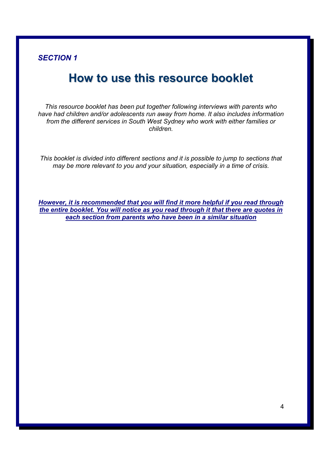# **How to use this resource booklet**

*This resource booklet has been put together following interviews with parents who have had children and/or adolescents run away from home. It also includes information from the different services in South West Sydney who work with either families or children.* 

*This booklet is divided into different sections and it is possible to jump to sections that may be more relevant to you and your situation, especially in a time of crisis.* 

*However, it is recommended that you will find it more helpful if you read through the entire booklet. You will notice as you read through it that there are quotes in each section from parents who have been in a similar situation*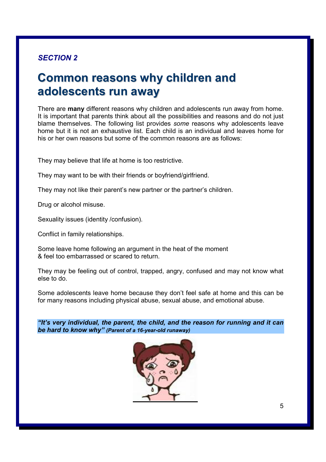# **Common reasons why children and adolescents run away**

There are **many** different reasons why children and adolescents run away from home. It is important that parents think about all the possibilities and reasons and do not just blame themselves. The following list provides *some* reasons why adolescents leave home but it is not an exhaustive list. Each child is an individual and leaves home for his or her own reasons but some of the common reasons are as follows:

They may believe that life at home is too restrictive.

They may want to be with their friends or boyfriend/girlfriend.

They may not like their parent's new partner or the partner's children.

Drug or alcohol misuse.

Sexuality issues (identity /confusion).

Conflict in family relationships.

Some leave home following an argument in the heat of the moment & feel too embarrassed or scared to return.

They may be feeling out of control, trapped, angry, confused and may not know what else to do.

Some adolescents leave home because they don't feel safe at home and this can be for many reasons including physical abuse, sexual abuse, and emotional abuse.

*"It's very individual, the parent, the child, and the reason for running and it can be hard to know why" (Parent of a 16-year-old runaway)* 

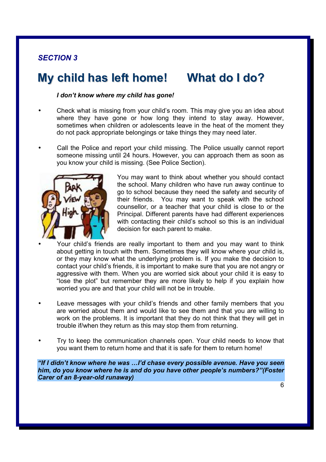# **My child has left home! What do I do?**

## *I don't know where my child has gone!*

• Check what is missing from your child's room. This may give you an idea about where they have gone or how long they intend to stay away. However, sometimes when children or adolescents leave in the heat of the moment they do not pack appropriate belongings or take things they may need later.

• Call the Police and report your child missing. The Police usually cannot report someone missing until 24 hours. However, you can approach them as soon as you know your child is missing. (See Police Section).



You may want to think about whether you should contact the school. Many children who have run away continue to go to school because they need the safety and security of their friends. You may want to speak with the school counsellor, or a teacher that your child is close to or the Principal. Different parents have had different experiences with contacting their child's school so this is an individual decision for each parent to make.

• Your child's friends are really important to them and you may want to think about getting in touch with them. Sometimes they will know where your child is, or they may know what the underlying problem is. If you make the decision to contact your child's friends, it is important to make sure that you are not angry or aggressive with them. When you are worried sick about your child it is easy to "lose the plot" but remember they are more likely to help if you explain how worried you are and that your child will not be in trouble.

- Leave messages with your child's friends and other family members that you are worried about them and would like to see them and that you are willing to work on the problems. It is important that they do not think that they will get in trouble if/when they return as this may stop them from returning.
- Try to keep the communication channels open. Your child needs to know that you want them to return home and that it is safe for them to return home!

*"If I didn't know where he was …I'd chase every possible avenue. Have you seen him, do you know where he is and do you have other people's numbers?"(Foster Carer of an 8-year-old runaway)*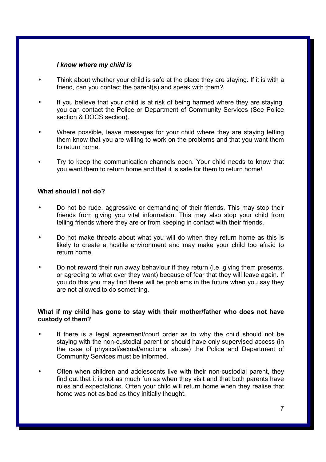## *I know where my child is*

- Think about whether your child is safe at the place they are staying. If it is with a friend, can you contact the parent(s) and speak with them?
- If you believe that your child is at risk of being harmed where they are staying, you can contact the Police or Department of Community Services (See Police section & DOCS section).
- Where possible, leave messages for your child where they are staying letting them know that you are willing to work on the problems and that you want them to return home.
- Try to keep the communication channels open. Your child needs to know that you want them to return home and that it is safe for them to return home!

## **What should I not do?**

- Do not be rude, aggressive or demanding of their friends. This may stop their friends from giving you vital information. This may also stop your child from telling friends where they are or from keeping in contact with their friends.
- Do not make threats about what you will do when they return home as this is likely to create a hostile environment and may make your child too afraid to return home.
- Do not reward their run away behaviour if they return (i.e. giving them presents, or agreeing to what ever they want) because of fear that they will leave again. If you do this you may find there will be problems in the future when you say they are not allowed to do something.

## **What if my child has gone to stay with their mother/father who does not have custody of them?**

- If there is a legal agreement/court order as to why the child should not be staying with the non-custodial parent or should have only supervised access (in the case of physical/sexual/emotional abuse) the Police and Department of Community Services must be informed.
- Often when children and adolescents live with their non-custodial parent, they find out that it is not as much fun as when they visit and that both parents have rules and expectations. Often your child will return home when they realise that home was not as bad as they initially thought.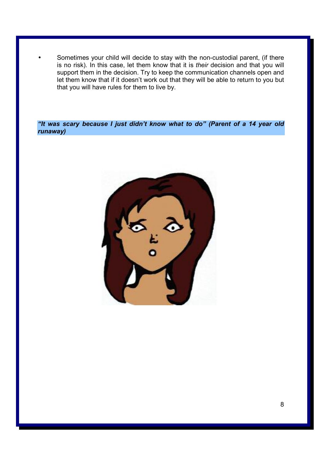Sometimes your child will decide to stay with the non-custodial parent, (if there is no risk). In this case, let them know that it is *their* decision and that you will support them in the decision. Try to keep the communication channels open and let them know that if it doesn't work out that they will be able to return to you but that you will have rules for them to live by.

*"It was scary because I just didn't know what to do" (Parent of a 14 year old runaway)* 

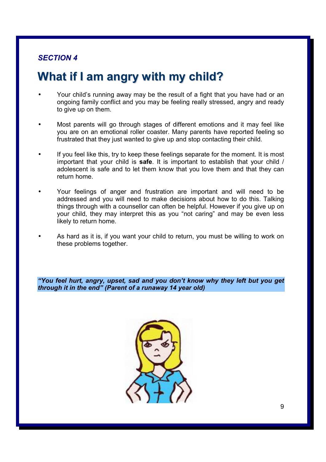# **What if I am angry with my child?**

- Your child's running away may be the result of a fight that you have had or an ongoing family conflict and you may be feeling really stressed, angry and ready to give up on them.
- Most parents will go through stages of different emotions and it may feel like you are on an emotional roller coaster. Many parents have reported feeling so frustrated that they just wanted to give up and stop contacting their child.
- If you feel like this, try to keep these feelings separate for the moment. It is most important that your child is **safe**. It is important to establish that your child / adolescent is safe and to let them know that you love them and that they can return home.
- Your feelings of anger and frustration are important and will need to be addressed and you will need to make decisions about how to do this. Talking things through with a counsellor can often be helpful. However if you give up on your child, they may interpret this as you "not caring" and may be even less likely to return home.
	- As hard as it is, if you want your child to return, you must be willing to work on these problems together.

*"You feel hurt, angry, upset, sad and you don't know why they left but you get through it in the end" (Parent of a runaway 14 year old)* 

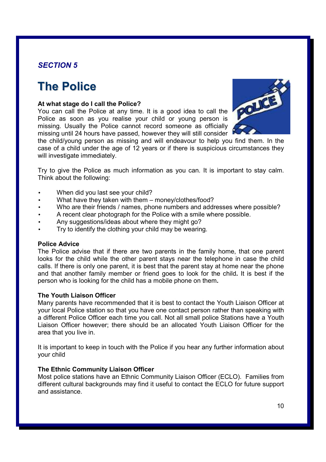# **The Police**

## **At what stage do I call the Police?**

You can call the Police at any time. It is a good idea to call the Police as soon as you realise your child or young person is missing. Usually the Police cannot record someone as officially missing until 24 hours have passed, however they will still consider



the child/young person as missing and will endeavour to help you find them. In the case of a child under the age of 12 years or if there is suspicious circumstances they will investigate immediately.

Try to give the Police as much information as you can. It is important to stay calm. Think about the following:

- When did you last see your child?
- What have they taken with them money/clothes/food?
- Who are their friends / names, phone numbers and addresses where possible?
- A recent clear photograph for the Police with a smile where possible.
- Any suggestions/ideas about where they might go?
- Try to identify the clothing your child may be wearing.

## **Police Advice**

The Police advise that if there are two parents in the family home, that one parent looks for the child while the other parent stays near the telephone in case the child calls. If there is only one parent, it is best that the parent stay at home near the phone and that another family member or friend goes to look for the child**.** It is best if the person who is looking for the child has a mobile phone on them**.**

## **The Youth Liaison Officer**

Many parents have recommended that it is best to contact the Youth Liaison Officer at your local Police station so that you have one contact person rather than speaking with a different Police Officer each time you call. Not all small police Stations have a Youth Liaison Officer however; there should be an allocated Youth Liaison Officer for the area that you live in.

It is important to keep in touch with the Police if you hear any further information about your child

## **The Ethnic Community Liaison Officer**

Most police stations have an Ethnic Community Liaison Officer (ECLO). Families from different cultural backgrounds may find it useful to contact the ECLO for future support and assistance.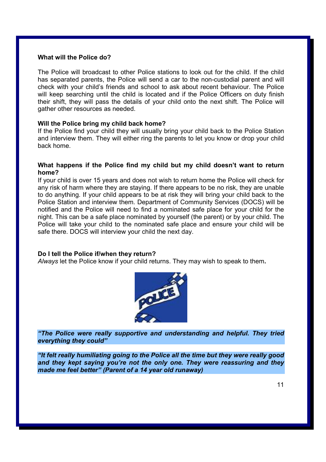## **What will the Police do?**

The Police will broadcast to other Police stations to look out for the child. If the child has separated parents, the Police will send a car to the non-custodial parent and will check with your child's friends and school to ask about recent behaviour. The Police will keep searching until the child is located and if the Police Officers on duty finish their shift, they will pass the details of your child onto the next shift. The Police will gather other resources as needed.

## **Will the Police bring my child back home?**

If the Police find your child they will usually bring your child back to the Police Station and interview them. They will either ring the parents to let you know or drop your child back home.

## **What happens if the Police find my child but my child doesn't want to return home?**

If your child is over 15 years and does not wish to return home the Police will check for any risk of harm where they are staying. If there appears to be no risk, they are unable to do anything. If your child appears to be at risk they will bring your child back to the Police Station and interview them. Department of Community Services (DOCS) will be notified and the Police will need to find a nominated safe place for your child for the night. This can be a safe place nominated by yourself (the parent) or by your child. The Police will take your child to the nominated safe place and ensure your child will be safe there. DOCS will interview your child the next day.

## **Do I tell the Police if/when they return?**

*Always* let the Police know if your child returns. They may wish to speak to them**.**



*"The Police were really supportive and understanding and helpful. They tried everything they could"* 

*"It felt really humiliating going to the Police all the time but they were really good and they kept saying you're not the only one. They were reassuring and they made me feel better" (Parent of a 14 year old runaway)*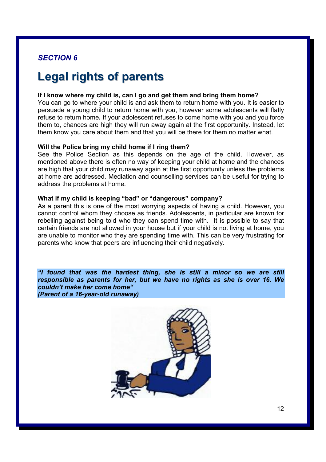# **Legal rights of parents**

#### **If I know where my child is, can I go and get them and bring them home?**

You can go to where your child is and ask them to return home with you. It is easier to persuade a young child to return home with you, however some adolescents will flatly refuse to return home**.** If your adolescent refuses to come home with you and you force them to, chances are high they will run away again at the first opportunity. Instead, let them know you care about them and that you will be there for them no matter what.

## **Will the Police bring my child home if I ring them?**

See the Police Section as this depends on the age of the child. However, as mentioned above there is often no way of keeping your child at home and the chances are high that your child may runaway again at the first opportunity unless the problems at home are addressed. Mediation and counselling services can be useful for trying to address the problems at home.

## **What if my child is keeping "bad" or "dangerous" company?**

As a parent this is one of the most worrying aspects of having a child. However, you cannot control whom they choose as friends. Adolescents, in particular are known for rebelling against being told who they can spend time with. It is possible to say that certain friends are not allowed in your house but if your child is not living at home, you are unable to monitor who they are spending time with. This can be very frustrating for parents who know that peers are influencing their child negatively.

*"I found that was the hardest thing, she is still a minor so we are still responsible as parents for her, but we have no rights as she is over 16. We couldn't make her come home" (Parent of a 16-year-old runaway)* 

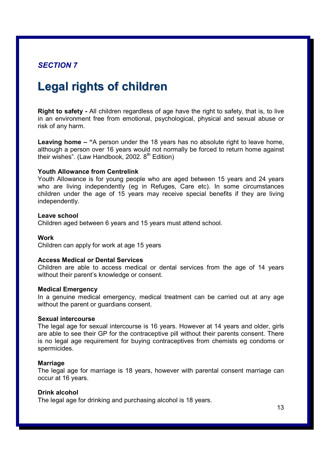# **Legal rights of children**

**Right to safety -** All children regardless of age have the right to safety, that is, to live in an environment free from emotional, psychological, physical and sexual abuse or risk of any harm.

**Leaving home – "**A person under the 18 years has no absolute right to leave home, although a person over 16 years would not normally be forced to return home against their wishes". (Law Handbook, 2002.  $8<sup>th</sup>$  Edition)

## **Youth Allowance from Centrelink**

Youth Allowance is for young people who are aged between 15 years and 24 years who are living independently (eg in Refuges, Care etc). In some circumstances children under the age of 15 years may receive special benefits if they are living independently.

#### **Leave school**

Children aged between 6 years and 15 years must attend school.

## **Work**

Children can apply for work at age 15 years

#### **Access Medical or Dental Services**

Children are able to access medical or dental services from the age of 14 years without their parent's knowledge or consent.

#### **Medical Emergency**

In a genuine medical emergency, medical treatment can be carried out at any age without the parent or guardians consent.

## **Sexual intercourse**

The legal age for sexual intercourse is 16 years. However at 14 years and older, girls are able to see their GP for the contraceptive pill without their parents consent. There is no legal age requirement for buying contraceptives from chemists eg condoms or spermicides.

## **Marriage**

The legal age for marriage is 18 years, however with parental consent marriage can occur at 16 years.

#### **Drink alcohol**

The legal age for drinking and purchasing alcohol is 18 years.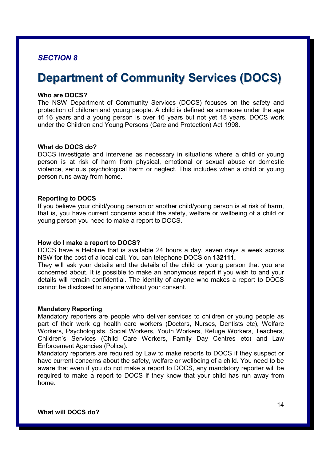# **Department of Community Services (DOCS)**

## **Who are DOCS?**

The NSW Department of Community Services (DOCS) focuses on the safety and protection of children and young people. A child is defined as someone under the age of 16 years and a young person is over 16 years but not yet 18 years. DOCS work under the Children and Young Persons (Care and Protection) Act 1998.

## **What do DOCS do?**

DOCS investigate and intervene as necessary in situations where a child or young person is at risk of harm from physical, emotional or sexual abuse or domestic violence, serious psychological harm or neglect. This includes when a child or young person runs away from home.

## **Reporting to DOCS**

If you believe your child/young person or another child/young person is at risk of harm, that is, you have current concerns about the safety, welfare or wellbeing of a child or young person you need to make a report to DOCS.

## **How do I make a report to DOCS?**

DOCS have a Helpline that is available 24 hours a day, seven days a week across NSW for the cost of a local call. You can telephone DOCS on **132111.**

They will ask your details and the details of the child or young person that you are concerned about. It is possible to make an anonymous report if you wish to and your details will remain confidential. The identity of anyone who makes a report to DOCS cannot be disclosed to anyone without your consent.

## **Mandatory Reporting**

Mandatory reporters are people who deliver services to children or young people as part of their work eg health care workers (Doctors, Nurses, Dentists etc), Welfare Workers, Psychologists, Social Workers, Youth Workers, Refuge Workers, Teachers, Children's Services (Child Care Workers, Family Day Centres etc) and Law Enforcement Agencies (Police).

Mandatory reporters are required by Law to make reports to DOCS if they suspect or have current concerns about the safety, welfare or wellbeing of a child. You need to be aware that even if you do not make a report to DOCS, any mandatory reporter will be required to make a report to DOCS if they know that your child has run away from home.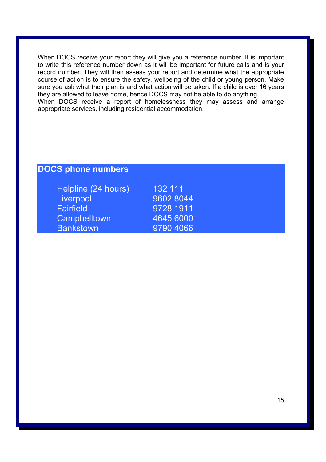When DOCS receive your report they will give you a reference number. It is important to write this reference number down as it will be important for future calls and is your record number. They will then assess your report and determine what the appropriate course of action is to ensure the safety, wellbeing of the child or young person. Make sure you ask what their plan is and what action will be taken. If a child is over 16 years they are allowed to leave home, hence DOCS may not be able to do anything. When DOCS receive a report of homelessness they may assess and arrange appropriate services, including residential accommodation.

## **DOCS phone numbers**

| Helpline (24 hours) | 132 111   |
|---------------------|-----------|
| Liverpool           | 9602 8044 |
| Fairfield           | 9728 1911 |
| <b>Campbelltown</b> | 4645 6000 |
| <b>Bankstown</b>    | 9790 4066 |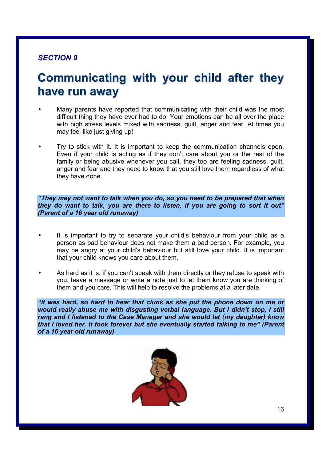# **Communicating with your child after they have run away**

- Many parents have reported that communicating with their child was the most difficult thing they have ever had to do. Your emotions can be all over the place with high stress levels mixed with sadness, guilt, anger and fear. At times you may feel like just giving up!
- Try to stick with it. It is important to keep the communication channels open. Even if your child is acting as if they don't care about you or the rest of the family or being abusive whenever you call, they too are feeling sadness, guilt, anger and fear and they need to know that you still love them regardless of what they have done.

*"They may not want to talk when you do, so you need to be prepared that when they do want to talk, you are there to listen, if you are going to sort it out" (Parent of a 16 year old runaway)* 

- It is important to try to separate your child's behaviour from your child as a person as bad behaviour does not make them a bad person. For example, you may be angry at your child's behaviour but still love your child. It is important that your child knows you care about them.
- As hard as it is, if you can't speak with them directly or they refuse to speak with you, leave a message or write a note just to let them know you are thinking of them and you care. This will help to resolve the problems at a later date.

*"It was hard, so hard to hear that clunk as she put the phone down on me or would really abuse me with disgusting verbal language. But I didn't stop, I still rang and I listened to the Case Manager and she would let (my daughter) know that I loved her. It took forever but she eventually started talking to me" (Parent of a 16 year old runaway)* 

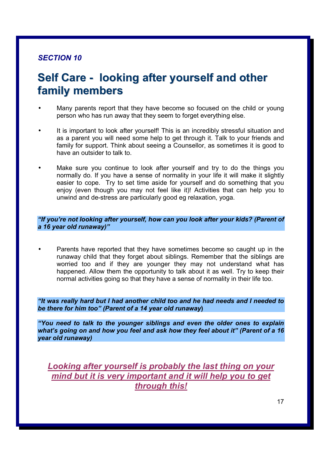# **Self Care - looking after yourself and other family members**

- Many parents report that they have become so focused on the child or young person who has run away that they seem to forget everything else.
- It is important to look after yourself! This is an incredibly stressful situation and as a parent you will need some help to get through it. Talk to your friends and family for support. Think about seeing a Counsellor, as sometimes it is good to have an outsider to talk to.
- Make sure you continue to look after yourself and try to do the things you normally do. If you have a sense of normality in your life it will make it slightly easier to cope. Try to set time aside for yourself and do something that you enjoy (even though you may not feel like it)! Activities that can help you to unwind and de-stress are particularly good eg relaxation, yoga.

*"If you're not looking after yourself, how can you look after your kids? (Parent of a 16 year old runaway)"* 

• Parents have reported that they have sometimes become so caught up in the runaway child that they forget about siblings. Remember that the siblings are worried too and if they are younger they may not understand what has happened. Allow them the opportunity to talk about it as well. Try to keep their normal activities going so that they have a sense of normality in their life too.

*"It was really hard but I had another child too and he had needs and I needed to be there for him too" (Parent of a 14 year old runaway***)**

*"You need to talk to the younger siblings and even the older ones to explain what's going on and how you feel and ask how they feel about it" (Parent of a 16 year old runaway)* 

*Looking after yourself is probably the last thing on your mind but it is very important and it will help you to get through this!*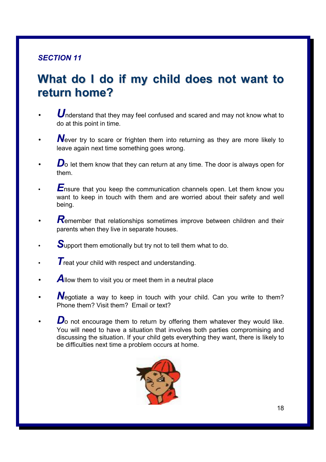# **What do I do if my child does not want to return home?**

- **U**nderstand that they may feel confused and scared and may not know what to do at this point in time.
- **N**ever try to scare or frighten them into returning as they are more likely to leave again next time something goes wrong.
- *D*<sub>o</sub> let them know that they can return at any time. The door is always open for them.
- **E**nsure that you keep the communication channels open. Let them know you want to keep in touch with them and are worried about their safety and well being.
- **R**emember that relationships sometimes improve between children and their parents when they live in separate houses.
- **S**upport them emotionally but try not to tell them what to do.
- **T** reat your child with respect and understanding.
- Allow them to visit you or meet them in a neutral place
- **N**egotiate a way to keep in touch with your child. Can you write to them? Phone them? Visit them? Email or text?
- **D**o not encourage them to return by offering them whatever they would like. You will need to have a situation that involves both parties compromising and discussing the situation. If your child gets everything they want, there is likely to be difficulties next time a problem occurs at home.

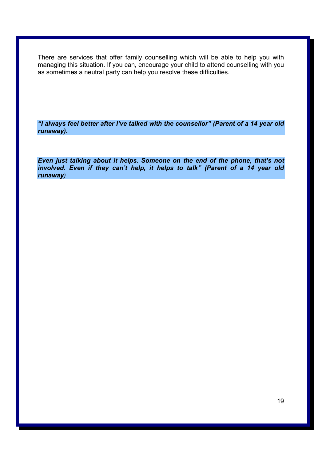There are services that offer family counselling which will be able to help you with managing this situation. If you can, encourage your child to attend counselling with you as sometimes a neutral party can help you resolve these difficulties.

*"I always feel better after I've talked with the counsellor" (Parent of a 14 year old runaway).* 

*Even just talking about it helps. Someone on the end of the phone, that's not*  involved. Even if they can't help, it helps to talk" (Parent of a 14 year old *runaway)*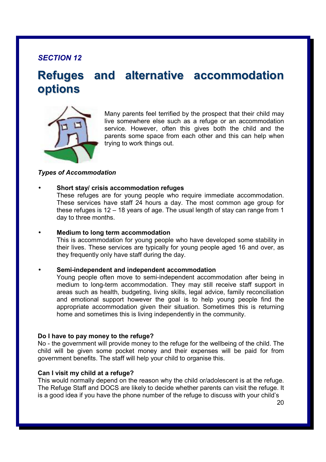# **Refuges and alternative accommodation options**



Many parents feel terrified by the prospect that their child may live somewhere else such as a refuge or an accommodation service. However, often this gives both the child and the parents some space from each other and this can help when trying to work things out.

## *Types of Accommodation*

## • **Short stay/ crisis accommodation refuges**

These refuges are for young people who require immediate accommodation. These services have staff 24 hours a day. The most common age group for these refuges is 12 – 18 years of age. The usual length of stay can range from 1 day to three months.

• **Medium to long term accommodation** 

This is accommodation for young people who have developed some stability in their lives. These services are typically for young people aged 16 and over, as they frequently only have staff during the day.

#### • **Semi-independent and independent accommodation**

Young people often move to semi-independent accommodation after being in medium to long-term accommodation. They may still receive staff support in areas such as health, budgeting, living skills, legal advice, family reconciliation and emotional support however the goal is to help young people find the appropriate accommodation given their situation. Sometimes this is returning home and sometimes this is living independently in the community.

#### **Do I have to pay money to the refuge?**

No - the government will provide money to the refuge for the wellbeing of the child. The child will be given some pocket money and their expenses will be paid for from government benefits. The staff will help your child to organise this.

#### **Can I visit my child at a refuge?**

This would normally depend on the reason why the child or/adolescent is at the refuge. The Refuge Staff and DOCS are likely to decide whether parents can visit the refuge. It is a good idea if you have the phone number of the refuge to discuss with your child's

20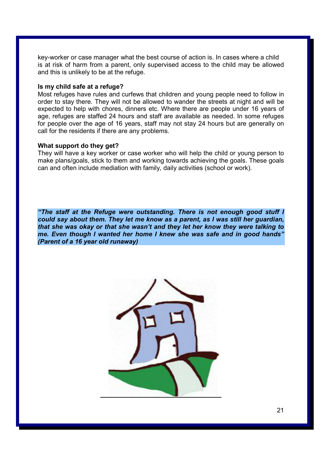key-worker or case manager what the best course of action is. In cases where a child is at risk of harm from a parent, only supervised access to the child may be allowed and this is unlikely to be at the refuge.

## **Is my child safe at a refuge?**

Most refuges have rules and curfews that children and young people need to follow in order to stay there. They will not be allowed to wander the streets at night and will be expected to help with chores, dinners etc. Where there are people under 16 years of age, refuges are staffed 24 hours and staff are available as needed. In some refuges for people over the age of 16 years, staff may not stay 24 hours but are generally on call for the residents if there are any problems.

#### **What support do they get?**

They will have a key worker or case worker who will help the child or young person to make plans/goals, stick to them and working towards achieving the goals. These goals can and often include mediation with family, daily activities (school or work).

*"The staff at the Refuge were outstanding. There is not enough good stuff I could say about them. They let me know as a parent, as I was still her guardian, that she was okay or that she wasn't and they let her know they were talking to me. Even though I wanted her home I knew she was safe and in good hands" (Parent of a 16 year old runaway)* 

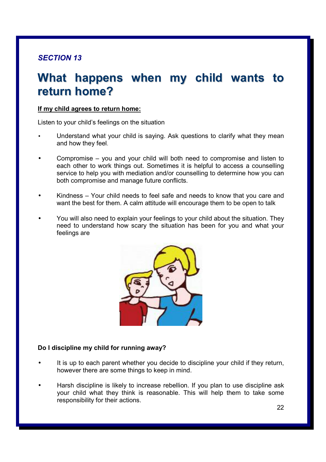# **What happens when my child wants to return home?**

## **If my child agrees to return home:**

Listen to your child's feelings on the situation

- Understand what your child is saying. Ask questions to clarify what they mean and how they feel.
- Compromise you and your child will both need to compromise and listen to each other to work things out. Sometimes it is helpful to access a counselling service to help you with mediation and/or counselling to determine how you can both compromise and manage future conflicts.
- Kindness Your child needs to feel safe and needs to know that you care and want the best for them. A calm attitude will encourage them to be open to talk
- You will also need to explain your feelings to your child about the situation. They need to understand how scary the situation has been for you and what your feelings are



## **Do I discipline my child for running away?**

- It is up to each parent whether you decide to discipline your child if they return, however there are some things to keep in mind.
- Harsh discipline is likely to increase rebellion. If you plan to use discipline ask your child what they think is reasonable. This will help them to take some responsibility for their actions.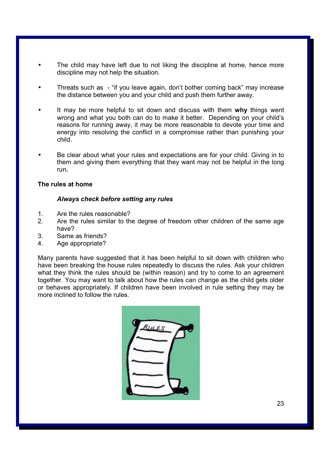- The child may have left due to not liking the discipline at home, hence more discipline may not help the situation.
- Threats such as "if you leave again, don't bother coming back" may increase the distance between you and your child and push them further away.
- It may be more helpful to sit down and discuss with them **why** things went wrong and what you both can do to make it better. Depending on your child's reasons for running away, it may be more reasonable to devote your time and energy into resolving the conflict in a compromise rather than punishing your child.
- Be clear about what your rules and expectations are for your child. Giving in to them and giving them everything that they want may not be helpful in the long run**.**

## **The rules at home**

## *Always check before setting any rules*

- 1. Are the rules reasonable?
- 2. Are the rules similar to the degree of freedom other children of the same age have?
- 3. Same as friends?
- 4. Age appropriate?

Many parents have suggested that it has been helpful to sit down with children who have been breaking the house rules repeatedly to discuss the rules. Ask your children what they think the rules should be (within reason) and try to come to an agreement together. You may want to talk about how the rules can change as the child gets older or behaves appropriately. If children have been involved in rule setting they may be more inclined to follow the rules.

|  | RILES |
|--|-------|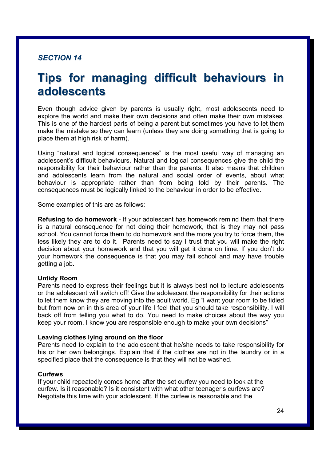# **Tips for managing difficult behaviours in adolescents**

Even though advice given by parents is usually right, most adolescents need to explore the world and make their own decisions and often make their own mistakes. This is one of the hardest parts of being a parent but sometimes you have to let them make the mistake so they can learn (unless they are doing something that is going to place them at high risk of harm).

Using "natural and logical consequences" is the most useful way of managing an adolescent's difficult behaviours. Natural and logical consequences give the child the responsibility for their behaviour rather than the parents. It also means that children and adolescents learn from the natural and social order of events, about what behaviour is appropriate rather than from being told by their parents. The consequences must be logically linked to the behaviour in order to be effective.

Some examples of this are as follows:

**Refusing to do homework** - If your adolescent has homework remind them that there is a natural consequence for not doing their homework, that is they may not pass school. You cannot force them to do homework and the more you try to force them, the less likely they are to do it. Parents need to say I trust that you will make the right decision about your homework and that you will get it done on time. If you don't do your homework the consequence is that you may fail school and may have trouble getting a job.

## **Untidy Room**

Parents need to express their feelings but it is always best not to lecture adolescents or the adolescent will switch off! Give the adolescent the responsibility for their actions to let them know they are moving into the adult world. Eg "I want your room to be tidied but from now on in this area of your life I feel that you should take responsibility. I will back off from telling you what to do. You need to make choices about the way you keep your room. I know you are responsible enough to make your own decisions"

#### **Leaving clothes lying around on the floor**

Parents need to explain to the adolescent that he/she needs to take responsibility for his or her own belongings. Explain that if the clothes are not in the laundry or in a specified place that the consequence is that they will not be washed.

#### **Curfews**

If your child repeatedly comes home after the set curfew you need to look at the curfew. Is it reasonable? Is it consistent with what other teenager's curfews are? Negotiate this time with your adolescent. If the curfew is reasonable and the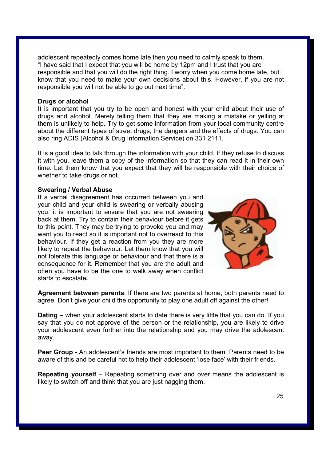adolescent repeatedly comes home late then you need to calmly speak to them. "I have said that I expect that you will be home by 12pm and I trust that you are responsible and that you will do the right thing. I worry when you come home late, but I know that you need to make your own decisions about this. However, if you are not responsible you will not be able to go out next time".

#### **Drugs or alcohol**

It is important that you try to be open and honest with your child about their use of drugs and alcohol. Merely telling them that they are making a mistake or yelling at them is unlikely to help. Try to get some information from your local community centre about the different types of street drugs, the dangers and the effects of drugs. You can also ring ADIS (Alcohol & Drug Information Service) on 331 2111.

It is a good idea to talk through the information with your child. If they refuse to discuss it with you, leave them a copy of the information so that they can read it in their own time. Let them know that you expect that they will be responsible with their choice of whether to take drugs or not.

#### **Swearing / Verbal Abuse**

If a verbal disagreement has occurred between you and your child and your child is swearing or verbally abusing you, it is important to ensure that you are not swearing back at them. Try to contain their behaviour before it gets to this point. They may be trying to provoke you and may want you to react so it is important not to overreact to this behaviour. If they get a reaction from you they are more likely to repeat the behaviour. Let them know that you will not tolerate this language or behaviour and that there is a consequence for it. Remember that you are the adult and often you have to be the one to walk away when conflict starts to escalate*.*



**Agreement between parents**: If there are two parents at home, both parents need to agree. Don't give your child the opportunity to play one adult off against the other!

**Dating** – when your adolescent starts to date there is very little that you can do. If you say that you do not approve of the person or the relationship, you are likely to drive your adolescent even further into the relationship and you may drive the adolescent away.

**Peer Group** - An adolescent's friends are most important to them. Parents need to be aware of this and be careful not to help their adolescent 'lose face' with their friends.

**Repeating yourself** – Repeating something over and over means the adolescent is likely to switch off and think that you are just nagging them.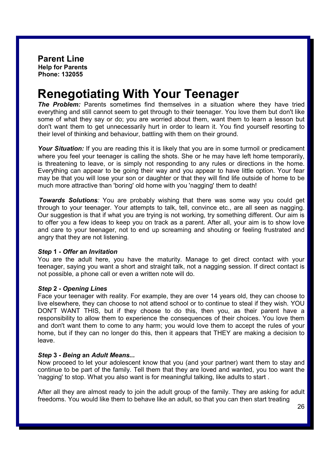# **Renegotiating With Your Teenager**

**The Problem:** Parents sometimes find themselves in a situation where they have tried everything and still cannot seem to get through to their teenager. You love them but don't like some of what they say or do; you are worried about them, want them to learn a lesson but don't want them to get unnecessarily hurt in order to learn it. You find yourself resorting to their level of thinking and behaviour, battling with them on their ground.

*Your Situation:* If you are reading this it is likely that you are in some turmoil or predicament where you feel your teenager is calling the shots. She or he may have left home temporarily, is threatening to leave, or is simply not responding to any rules or directions in the home. Everything can appear to be going their way and you appear to have little option. Your fear may be that you will lose your son or daughter or that they will find life outside of home to be much more attractive than 'boring' old home with you 'nagging' them to death!

*Towards Solutions:* You are probably wishing that there was some way you could get through to your teenager. Your attempts to talk, tell, convince etc., are all seen as nagging. Our suggestion is that if what you are trying is not working, try something different. Our aim is to offer you a few ideas to keep you on track as a parent. After all, your aim is to show love and care to your teenager, not to end up screaming and shouting or feeling frustrated and angry that they are not listening.

## *Step* **1 -** *Offer* **an** *Invitation*

You are the adult here, you have the maturity. Manage to get direct contact with your teenager, saying you want a short and straight talk, not a nagging session. If direct contact is not possible, a phone call or even a written note will do.

## *Step* **2 -** *Opening Lines*

Face your teenager with reality. For example, they are over 14 years old, they can choose to live elsewhere, they can choose to not attend school or to continue to steal if they wish. YOU DON'T WANT THIS, but if they choose to do this, then you, as their parent have a responsibility to allow them to experience the consequences of their choices. You love them and don't want them to come to any harm; you would love them to accept the rules of your home, but if they can no longer do this, then it appears that THEY are making a decision to leave.

## *Step* **3 -** *Being* **an** *Adult Means...*

Now proceed to let your adolescent know that you (and your partner) want them to stay and continue to be part of the family. Tell them that they are loved and wanted, you too want the 'nagging' to stop. What you also want is for meaningful talking, like adults to start .

After all they are almost ready to join the adult group of the family. They are asking for adult freedoms. You would like them to behave like an adult, so that you can then start treating

26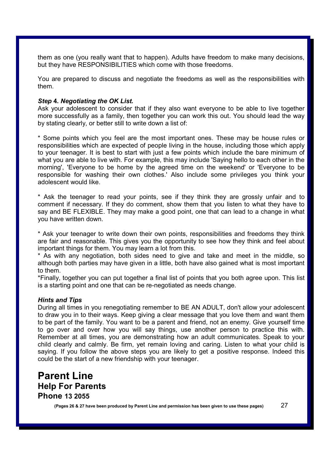them as one (you really want that to happen). Adults have freedom to make many decisions, but they have RESPONSIBILITIES which come with those freedoms.

You are prepared to discuss and negotiate the freedoms as well as the responsibilities with them.

## *Step* **4.** *Negotiating the OK List.*

Ask your adolescent to consider that if they also want everyone to be able to live together more successfully as a family, then together you can work this out. You should lead the way by stating clearly, or better still to write down a list of:

\* Some points which you feel are the most important ones. These may be house rules or responsibilities which are expected of people living in the house, including those which apply to your teenager. It is best to start with just a few points which include the bare minimum of what you are able to live with. For example, this may include 'Saying hello to each other in the morning', 'Everyone to be home by the agreed time on the weekend' or 'Everyone to be responsible for washing their own clothes.' Also include some privileges you think your adolescent would like.

\* Ask the teenager to read your points, see if they think they are grossly unfair and to comment if necessary. If they do comment, show them that you listen to what they have to say and BE FLEXIBLE. They may make a good point, one that can lead to a change in what you have written down.

\* Ask your teenager to write down their own points, responsibilities and freedoms they think are fair and reasonable. This gives you the opportunity to see how they think and feel about important things for them. You may learn a lot from this.

\* As with any negotiation, both sides need to give and take and meet in the middle, so although both parties may have given in a little, both have also gained what is most important to them.

\*Finally, together you can put together a final list of points that you both agree upon. This list is a starting point and one that can be re-negotiated as needs change.

## *Hints and Tips*

During all times in you renegotiating remember to BE AN ADULT, don't allow your adolescent to draw you in to their ways. Keep giving a clear message that you love them and want them to be part of the family. You want to be a parent and friend, not an enemy. Give yourself time to go over and over how you will say things, use another person to practice this with. Remember at all times, you are demonstrating how an adult communicates. Speak to your child clearly and calmly. Be firm, yet remain loving and caring. Listen to what your child is saying. If you follow the above steps you are likely to get a positive response. Indeed this could be the start of a new friendship with your teenager.

## **Parent Line Help For Parents Phone 13 2055**

**(Pages 26 & 27 have been produced by Parent Line and permission has been given to use these pages)** 27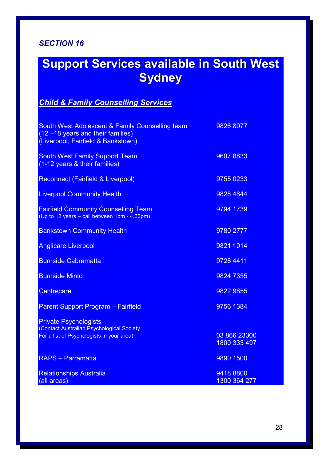# **Support Services available in South West Sydney**

## *Child & Family Counselling Services*

| South West Adolescent & Family Counselling team<br>(12 -18 years and their families)<br>(Liverpool, Fairfield & Bankstown) | 9826 8077                 |
|----------------------------------------------------------------------------------------------------------------------------|---------------------------|
| <b>South West Family Support Team</b><br>(1-12 years & their families)                                                     | 96078833                  |
| Reconnect (Fairfield & Liverpool)                                                                                          | 9755 0233                 |
| <b>Liverpool Community Health</b>                                                                                          | 9828 4844                 |
| <b>Fairfield Community Counselling Team</b><br>(Up to 12 years - call between 1pm - 4.30pm)                                | 9794 1739                 |
| <b>Bankstown Community Health</b>                                                                                          | 9780 2777                 |
| <b>Anglicare Liverpool</b>                                                                                                 | 9821 1014                 |
| <b>Burnside Cabramatta</b>                                                                                                 | 9728 4411                 |
| <b>Burnside Minto</b>                                                                                                      | 9824 7355                 |
| Centrecare                                                                                                                 | 9822 9855                 |
| <b>Parent Support Program - Fairfield</b>                                                                                  | 9756 1384                 |
| <b>Private Psychologists</b><br>(Contact Australian Psychological Society<br>For a list of Psychologists in your area)     | 03 866 23300              |
|                                                                                                                            | 1800 333 497              |
| <b>RAPS - Parramatta</b>                                                                                                   | 9890 1500                 |
| <b>Relationships Australia</b><br>(all areas)                                                                              | 9418 8800<br>1300 364 277 |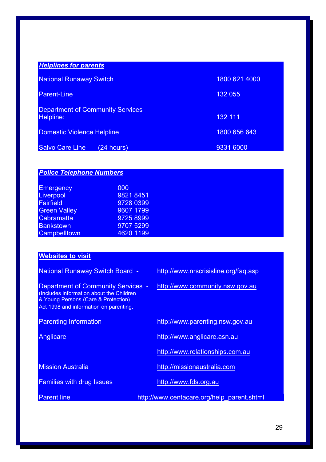| <b>Helplines for parents</b>                         |               |
|------------------------------------------------------|---------------|
| <b>National Runaway Switch</b>                       | 1800 621 4000 |
| <b>Parent-Line</b>                                   | 132 055       |
| <b>Department of Community Services</b><br>Helpline: | 132 111       |
| <b>Domestic Violence Helpline</b>                    | 1800 656 643  |
| <b>Salvo Care Line</b><br>$(24$ hours)               | 9331 6000     |

| <b>Police Telephone Numbers</b> |           |  |
|---------------------------------|-----------|--|
| <b>Emergency</b>                | 000       |  |
| Liverpool                       | 9821 8451 |  |
| <b>Fairfield</b>                | 9728 0399 |  |
| <b>Green Valley</b>             | 9607 1799 |  |
| <b>Cabramatta</b>               | 9725 8999 |  |
| <b>Bankstown</b>                | 9707 5299 |  |
| <b>Campbelltown</b>             | 4620 1199 |  |

## **Websites to visit**

| <b>National Runaway Switch Board -</b>                                                                                                                                 | http://www.nrscrisisline.org/fag.asp       |
|------------------------------------------------------------------------------------------------------------------------------------------------------------------------|--------------------------------------------|
| <b>Department of Community Services -</b><br>(Includes information about the Children<br>& Young Persons (Care & Protection)<br>Act 1998 and information on parenting. | http://www.community.nsw.gov.au            |
| <b>Parenting Information</b>                                                                                                                                           | http://www.parenting.nsw.gov.au            |
| Anglicare                                                                                                                                                              | http://www.anglicare.asn.au                |
|                                                                                                                                                                        | http://www.relationships.com.au            |
| <b>Mission Australia</b>                                                                                                                                               | http://missionaustralia.com                |
| <b>Families with drug Issues</b>                                                                                                                                       | http://www.fds.org.au                      |
| <b>Parent line</b>                                                                                                                                                     | http://www.centacare.org/help parent.shtml |